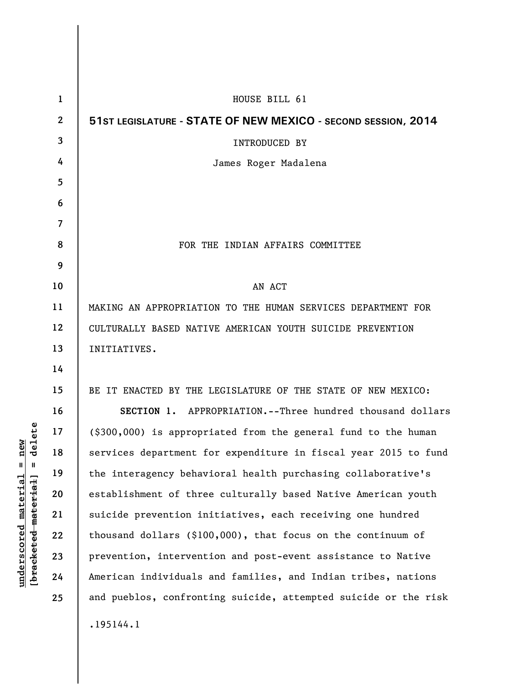| 1                | HOUSE BILL 61                                                          |
|------------------|------------------------------------------------------------------------|
| $\boldsymbol{2}$ | 51ST LEGISLATURE - STATE OF NEW MEXICO - SECOND SESSION, 2014          |
| 3                | INTRODUCED BY                                                          |
| 4                | James Roger Madalena                                                   |
| 5                |                                                                        |
| 6                |                                                                        |
| $\overline{7}$   |                                                                        |
| 8                | FOR THE INDIAN AFFAIRS COMMITTEE                                       |
| 9                |                                                                        |
| 10               | AN ACT                                                                 |
| 11               | MAKING AN APPROPRIATION TO THE HUMAN SERVICES DEPARTMENT FOR           |
| 12               | CULTURALLY BASED NATIVE AMERICAN YOUTH SUICIDE PREVENTION              |
| 13               | INITIATIVES.                                                           |
| 14               |                                                                        |
| 15               | BE IT ENACTED BY THE LEGISLATURE OF THE STATE OF NEW MEXICO:           |
| 16               | SECTION 1. APPROPRIATION.--Three hundred thousand dollars              |
| 17               | $(\text{$}300,000)$ is appropriated from the general fund to the human |
| 18               | services department for expenditure in fiscal year 2015 to fund        |
| 19               | the interagency behavioral health purchasing collaborative's           |
| 20               | establishment of three culturally based Native American youth          |
| 21               | suicide prevention initiatives, each receiving one hundred             |
| 22               | thousand dollars (\$100,000), that focus on the continuum of           |
| 23               | prevention, intervention and post-event assistance to Native           |
| 24               | American individuals and families, and Indian tribes, nations          |
| 25               | and pueblos, confronting suicide, attempted suicide or the risk        |
|                  | .195144.1                                                              |

 $[**bracket eted metert et**] = **del et e**$ **[bracketed material] = delete**  $underscored material = new$ **underscored material = new**